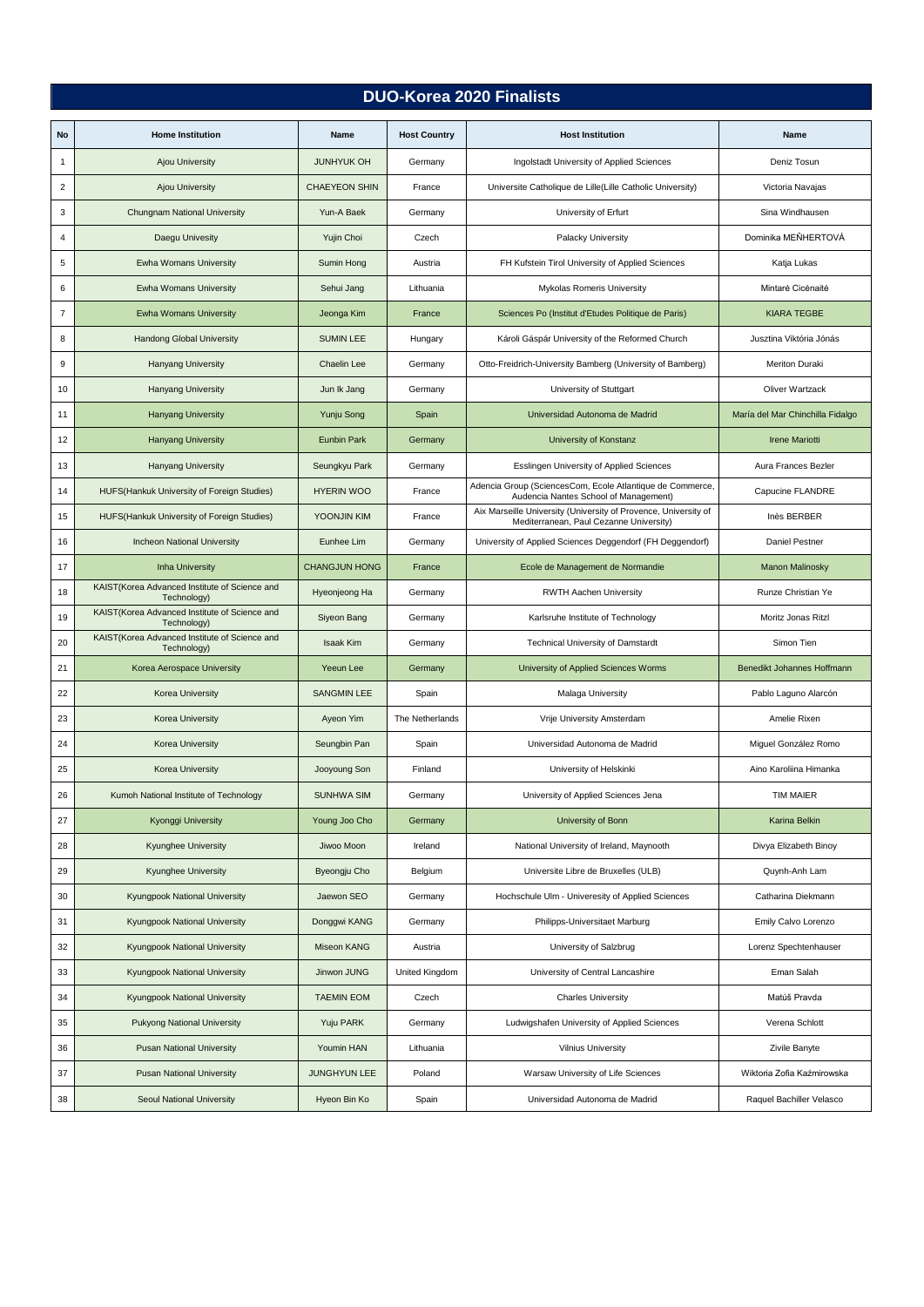## **DUO-Korea 2020 Finalists**

| No                      | <b>Home Institution</b>                                      | Name                 | <b>Host Country</b> | <b>Host Institution</b>                                                                                    | Name                             |
|-------------------------|--------------------------------------------------------------|----------------------|---------------------|------------------------------------------------------------------------------------------------------------|----------------------------------|
| 1                       | <b>Ajou University</b>                                       | <b>JUNHYUK OH</b>    | Germany             | Ingolstadt University of Applied Sciences                                                                  | Deniz Tosun                      |
| $\overline{\mathbf{c}}$ | <b>Ajou University</b>                                       | <b>CHAEYEON SHIN</b> | France              | Universite Catholique de Lille(Lille Catholic University)                                                  | Victoria Navajas                 |
| 3                       | <b>Chungnam National University</b>                          | Yun-A Baek           | Germany             | University of Erfurt                                                                                       | Sina Windhausen                  |
| 4                       | Daegu Univesity                                              | Yujin Choi           | Czech               | Palacky University                                                                                         | Dominika MEŇHERTOVÁ              |
| 5                       | Ewha Womans University                                       | Sumin Hong           | Austria             | FH Kufstein Tirol University of Applied Sciences                                                           | Katja Lukas                      |
| 6                       | <b>Ewha Womans University</b>                                | Sehui Jang           | Lithuania           | Mykolas Romeris University                                                                                 | Mintarė Cicėnaitė                |
| $\overline{7}$          | <b>Ewha Womans University</b>                                | Jeonga Kim           | France              | Sciences Po (Institut d'Etudes Politique de Paris)                                                         | <b>KIARA TEGBE</b>               |
| 8                       | <b>Handong Global University</b>                             | <b>SUMIN LEE</b>     | Hungary             | Károli Gáspár University of the Reformed Church                                                            | Jusztina Viktória Jónás          |
| 9                       | <b>Hanyang University</b>                                    | Chaelin Lee          | Germany             | Otto-Freidrich-University Bamberg (University of Bamberg)                                                  | Meriton Duraki                   |
| 10                      | Hanyang University                                           | Jun Ik Jang          | Germany             | University of Stuttgart                                                                                    | Oliver Wartzack                  |
| 11                      | <b>Hanyang University</b>                                    | <b>Yunju Song</b>    | Spain               | Universidad Autonoma de Madrid                                                                             | María del Mar Chinchilla Fidalgo |
| 12                      | <b>Hanyang University</b>                                    | <b>Eunbin Park</b>   | Germany             | University of Konstanz                                                                                     | <b>Irene Mariotti</b>            |
| 13                      | <b>Hanyang University</b>                                    | Seungkyu Park        | Germany             | Esslingen University of Applied Sciences                                                                   | Aura Frances Bezler              |
| 14                      | HUFS(Hankuk University of Foreign Studies)                   | <b>HYERIN WOO</b>    | France              | Adencia Group (SciencesCom, Ecole Atlantique de Commerce,<br>Audencia Nantes School of Management)         | Capucine FLANDRE                 |
| 15                      | HUFS(Hankuk University of Foreign Studies)                   | YOONJIN KIM          | France              | Aix Marseille University (University of Provence, University of<br>Mediterranean, Paul Cezanne University) | Inès BERBER                      |
| 16                      | <b>Incheon National University</b>                           | Eunhee Lim           | Germany             | University of Applied Sciences Deggendorf (FH Deggendorf)                                                  | Daniel Pestner                   |
| 17                      | <b>Inha University</b>                                       | <b>CHANGJUN HONG</b> | France              | Ecole de Management de Normandie                                                                           | <b>Manon Malinosky</b>           |
| 18                      | KAIST(Korea Advanced Institute of Science and<br>Technology) | Hyeonjeong Ha        | Germany             | <b>RWTH Aachen University</b>                                                                              | Runze Christian Ye               |
| 19                      | KAIST(Korea Advanced Institute of Science and<br>Technology) | Siyeon Bang          | Germany             | Karlsruhe Institute of Technology                                                                          | Moritz Jonas Ritzl               |
| 20                      | KAIST(Korea Advanced Institute of Science and<br>Technology) | <b>Isaak Kim</b>     | Germany             | <b>Technical University of Damstardt</b>                                                                   | Simon Tien                       |
| 21                      | Korea Aerospace University                                   | Yeeun Lee            | Germany             | University of Applied Sciences Worms                                                                       | Benedikt Johannes Hoffmann       |
| 22                      | <b>Korea University</b>                                      | <b>SANGMIN LEE</b>   | Spain               | Malaga University                                                                                          | Pablo Laguno Alarcón             |
| 23                      | <b>Korea University</b>                                      | Ayeon Yim            | The Netherlands     | Vrije University Amsterdam                                                                                 | Amelie Rixen                     |
| 24                      | Korea University                                             | Seungbin Pan         | Spain               | Universidad Autonoma de Madrid                                                                             | Miguel González Romo             |
| 25                      | <b>Korea University</b>                                      | Jooyoung Son         | Finland             | University of Helskinki                                                                                    | Aino Karoliina Himanka           |
| 26                      | Kumoh National Institute of Technology                       | <b>SUNHWA SIM</b>    | Germany             | University of Applied Sciences Jena                                                                        | <b>TIM MAIER</b>                 |
| 27                      | Kyonggi University                                           | Young Joo Cho        | Germany             | University of Bonn                                                                                         | Karina Belkin                    |
| 28                      | <b>Kyunghee University</b>                                   | Jiwoo Moon           | Ireland             | National University of Ireland, Maynooth                                                                   | Divya Elizabeth Binoy            |
| 29                      | <b>Kyunghee University</b>                                   | Byeongju Cho         | Belgium             | Universite Libre de Bruxelles (ULB)                                                                        | Quynh-Anh Lam                    |
| 30                      | Kyungpook National University                                | Jaewon SEO           | Germany             | Hochschule Ulm - Univeresity of Applied Sciences                                                           | Catharina Diekmann               |
| 31                      | Kyungpook National University                                | Donggwi KANG         | Germany             | Philipps-Universitaet Marburg                                                                              | Emily Calvo Lorenzo              |
| 32                      | Kyungpook National University                                | Miseon KANG          | Austria             | University of Salzbrug                                                                                     | Lorenz Spechtenhauser            |
| 33                      | Kyungpook National University                                | Jinwon JUNG          | United Kingdom      | University of Central Lancashire                                                                           | Eman Salah                       |
| 34                      | Kyungpook National University                                | <b>TAEMIN EOM</b>    | Czech               | <b>Charles University</b>                                                                                  | Matúš Pravda                     |
| 35                      | <b>Pukyong National University</b>                           | Yuju PARK            | Germany             | Ludwigshafen University of Applied Sciences                                                                | Verena Schlott                   |
| 36                      | <b>Pusan National University</b>                             | Youmin HAN           | Lithuania           | <b>Vilnius University</b>                                                                                  | Zivile Banyte                    |
| 37                      | <b>Pusan National University</b>                             | <b>JUNGHYUN LEE</b>  | Poland              | Warsaw University of Life Sciences                                                                         | Wiktoria Zofia Kaźmirowska       |
| 38                      | Seoul National University                                    | Hyeon Bin Ko         | Spain               | Universidad Autonoma de Madrid                                                                             | Raquel Bachiller Velasco         |